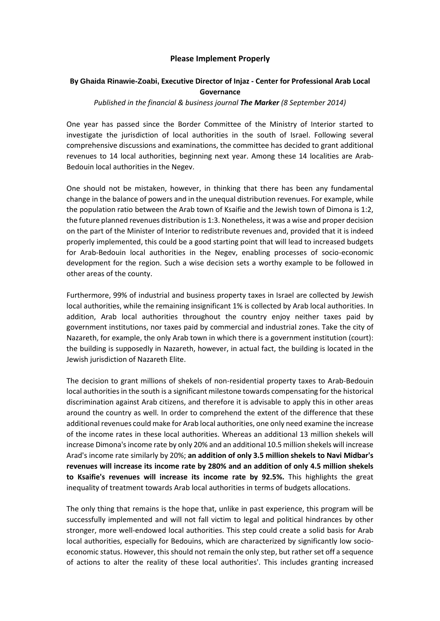## **Please Implement Properly**

## **By Ghaida Rinawie-Zoabi, Executive Director of Injaz - Center for Professional Arab Local Governance**

## *Published in the financial & business journal The Marker (8 September 2014)*

One year has passed since the Border Committee of the Ministry of Interior started to investigate the jurisdiction of local authorities in the south of Israel. Following several comprehensive discussions and examinations, the committee has decided to grant additional revenues to 14 local authorities, beginning next year. Among these 14 localities are Arab-Bedouin local authorities in the Negev.

One should not be mistaken, however, in thinking that there has been any fundamental change in the balance of powers and in the unequal distribution revenues. For example, while the population ratio between the Arab town of Ksaifie and the Jewish town of Dimona is 1:2, the future planned revenues distribution is 1:3. Nonetheless, it was a wise and proper decision on the part of the Minister of Interior to redistribute revenues and, provided that it is indeed properly implemented, this could be a good starting point that will lead to increased budgets for Arab-Bedouin local authorities in the Negev, enabling processes of socio-economic development for the region. Such a wise decision sets a worthy example to be followed in other areas of the county.

Furthermore, 99% of industrial and business property taxes in Israel are collected by Jewish local authorities, while the remaining insignificant 1% is collected by Arab local authorities. In addition, Arab local authorities throughout the country enjoy neither taxes paid by government institutions, nor taxes paid by commercial and industrial zones. Take the city of Nazareth, for example, the only Arab town in which there is a government institution (court): the building is supposedly in Nazareth, however, in actual fact, the building is located in the Jewish jurisdiction of Nazareth Elite.

The decision to grant millions of shekels of non-residential property taxes to Arab-Bedouin local authorities in the south is a significant milestone towards compensating for the historical discrimination against Arab citizens, and therefore it is advisable to apply this in other areas around the country as well. In order to comprehend the extent of the difference that these additional revenues could make for Arab local authorities, one only need examine the increase of the income rates in these local authorities. Whereas an additional 13 million shekels will increase Dimona's income rate by only 20% and an additional 10.5 million shekels will increase Arad's income rate similarly by 20%; **an addition of only 3.5 million shekels to Navi Midbar's revenues will increase its income rate by 280% and an addition of only 4.5 million shekels to Ksaifie's revenues will increase its income rate by 92.5%.** This highlights the great inequality of treatment towards Arab local authorities in terms of budgets allocations.

The only thing that remains is the hope that, unlike in past experience, this program will be successfully implemented and will not fall victim to legal and political hindrances by other stronger, more well-endowed local authorities. This step could create a solid basis for Arab local authorities, especially for Bedouins, which are characterized by significantly low socioeconomic status. However, this should not remain the only step, but rather set off a sequence of actions to alter the reality of these local authorities'. This includes granting increased